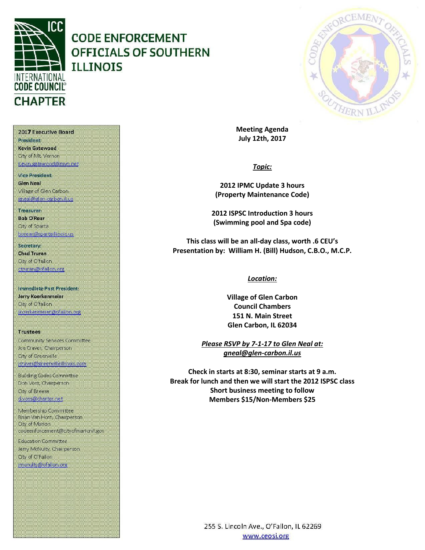

# **CODE ENFORCEMENT OFFICIALS OF SOUTHERN ILLINOIS**



**Meeting Agenda July 12th, 2017**

*Topic:*

**2012 IPMC Update 3 hours (Property Maintenance Code)**

**2012 ISPSC Introduction 3 hours (Swimming pool and Spa code)**

**This class will be an all-day class, worth .6 CEU's Presentation by: William H. (Bill) Hudson, C.B.O., M.C.P.**

## *Location:*

**Village of Glen Carbon Council Chambers 151 N. Main Street Glen Carbon, IL 62034**

*Please RSVP by 7-1-17 to Glen Neal at: gneal@glen-carbon.il.us*

**Check in starts at 8:30, seminar starts at 9 a.m. Break for lunch and then we will start the 2012 ISPSC class Short business meeting to follow Members \$15/Non-Members \$25**

President Kevin Gatewood City of Mt. Vernon

2017 Executive Board

Kevin gatewood@mvn.net

Vice President **Glen Neal** Village of Glen Carbon gneal@glen-carbon.il.us

Treasurer: **Bob O'Rear Oty of Sparta** borear@spartaillinois.us

Secretary: **Chad Truran** City of O'fallon. ctruran@ofallon.org

**Immediate Past President:** Jerry Koerkenmeier City of O'fallon (koerkenmerer@ofallon.org)

**Trustees** Community Services Committee Joe Craver, Champerson City of Greenville joraver@greenvilleillinois.com

**Building Codes Committee** Don Voss, Chairperson. City of Breese d.voss@charter.net

Membership Committee Brian Van Horn, Chairperson City of Marion codeenforcement@cityofmarionil.gov

**Education Committee** Jerry McNulty, Chairperson. City of O'Fallon imenulty@ofallor.org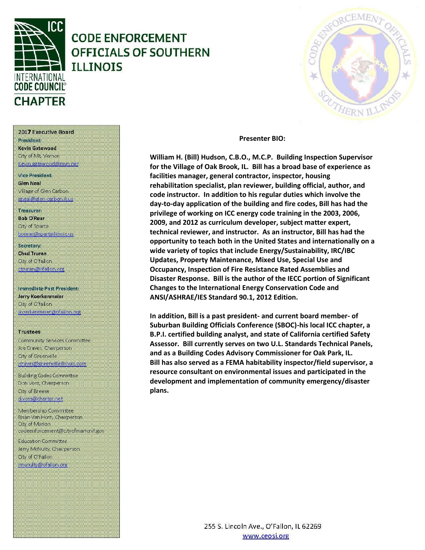

# **CODE ENFORCEMENT OFFICIALS OF SOUTHERN TLLTNOTS**

### **Presenter BIO:**

William H. (Bill) Hudson, C.B.O., M.C.P. Building Inspection Supervisor for the Village of Oak Brook, IL. Bill has a broad base of experience as facilities manager, general contractor, inspector, housing rehabilitation specialist, plan reviewer, building official, author, and code instructor. In addition to his regular duties which involve the day-to-day application of the building and fire codes, Bill has had the privilege of working on ICC energy code training in the 2003, 2006, 2009, and 2012 as curriculum developer, subject matter expert, technical reviewer, and instructor. As an instructor, Bill has had the opportunity to teach both in the United States and internationally on a wide variety of topics that include Energy/Sustainability, IRC/IBC Updates, Property Maintenance, Mixed Use, Special Use and Occupancy, Inspection of Fire Resistance Rated Assemblies and Disaster Response. Bill is the author of the IECC portion of Significant Changes to the International Energy Conservation Code and ANSI/ASHRAE/IES Standard 90.1, 2012 Edition.

In addition, Bill is a past president- and current board member- of Suburban Building Officials Conference (SBOC)-his local ICC chapter, a B.P.I. certified building analyst, and state of California certified Safety Assessor. Bill currently serves on two U.L. Standards Technical Panels, and as a Building Codes Advisory Commissioner for Oak Park, IL. Bill has also served as a FEMA habitability inspector/field supervisor, a resource consultant on environmental issues and participated in the development and implementation of community emergency/disaster plans.

> 255 S. Lincoln Ave., O'Fallon, IL 62269 www.ceosi.org

### 2017 Executive Board

President Kevin Gatewood City of Mt. Vernon Kevin gatewood@mvn.net

Viro Prosident **Glen Neal** Village of Glen Carbon gneal@glen-carbon.il.us

Treasurer:

**Bob O'Rear Oty of Sparta** borear@spartaillinois.us

### Secretary: **Chad Truran** City of O'fallon. ctruran@ofallon.org

Immediate Past President: Jerry Koerkenmeier City of O'fallon jkoerkermerer@ofallon.org

#### **Trustees**

Community Services Committee Joe Craver, Chairperson City of Greenville joraver@greenvilleillinois.com

**Building Codes Committee** Don Voss, Chairperson. City of Breese d.voss@charter.net

Membership Committee Brian Van Horn, Chairperson City of Marion codeenforcement@cityofmarionil.gov

**Education Committee** Jerry McNulty, Chairperson. City of O'Fallon imenuity@ofallon.org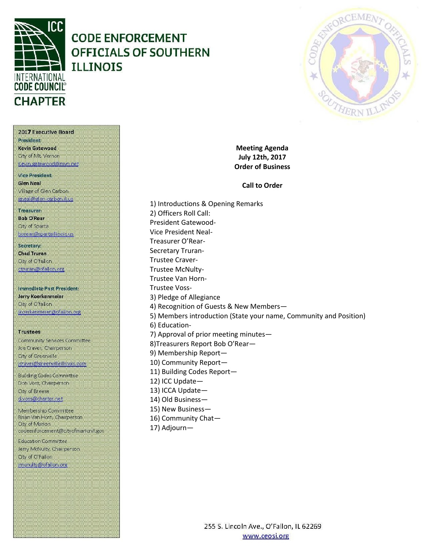

2017 Executive Board

**President** Kevin Gatewood City of Mt. Vernon Kevin gatewood@mvn.net

Vice President: **Glen Neal** 

Treasurer: **Bob O'Rear** Oty of Sparta

Secretary: **Chad Truran** City of O'fallon. ctruran@ofallon.org

**Trustees** 

City of Marion

City of O'Fallon imenulty@ofallor.org

**Education Committee** Jerry McNulty, Chairperson.

Village of Glen Carbon gneal@glen-carbon.il.us

borear@spartaillinois.us

Immediate Past President: Jerry Koerkenmeier City of O'fallon

(koerkenmerer@ofallon.org)

Community Services Committee Joe Craver, Champerson City of Greenville

joraver@greenvilleillinois.com **Building Codes Committee** Don Voss, Chairperson. City of Breese d.voss@charter.net Membership Committee Brian Van Horn, Chairperson

codeenforcement@cityofmarionil.gov

# **CODE ENFORCEMENT OFFICIALS OF SOUTHERN ILLINOIS**



**Meeting Agenda July 12th, 2017 Order of Business**

## **Call to Order**

1) Introductions & Opening Remarks 2) Officers Roll Call: President Gatewood-Vice President Neal-Treasurer O'Rear-Secretary Truran-5) Members introduction (State your name, Community and Position) 10) Community Report— 11) Building Codes Report— 12) ICC Update— 13) ICCA Update— 14) Old Business—

- 15) New Business—
- 16) Community Chat—
- 17) Adjourn—

Trustee Craver-Trustee McNulty-Trustee Van Horn-Trustee Voss-3) Pledge of Allegiance 4) Recognition of Guests & New Members— 6) Education-7) Approval of prior meeting minutes— 8)Treasurers Report Bob O'Rear— 9) Membership Report—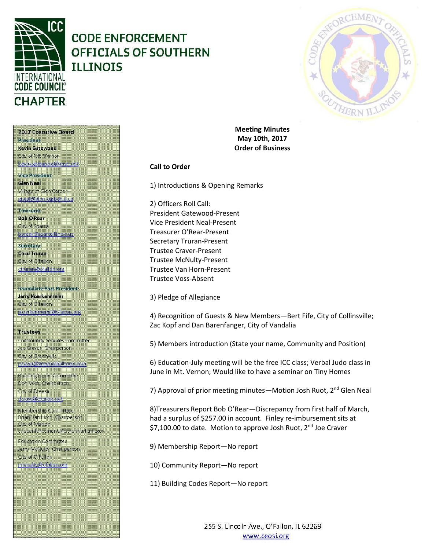

# **CODE ENFORCEMENT OFFICIALS OF SOUTHERN TLLTNOTS**



**Meeting Minutes May 10th, 2017 Order of Business**

## **Call to Order**

1) Introductions & Opening Remarks

2) Officers Roll Call: President Gatewood-Present Vice President Neal-Present Treasurer O'Rear-Present Secretary Truran-Present Trustee Craver-Present Trustee McNulty-Present Trustee Van Horn-Present Trustee Voss-Absent

3) Pledge of Allegiance

4) Recognition of Guests & New Members—Bert Fife, City of Collinsville; Zac Kopf and Dan Barenfanger, City of Vandalia

5) Members introduction (State your name, Community and Position)

6) Education-July meeting will be the free ICC class; Verbal Judo class in June in Mt. Vernon; Would like to have a seminar on Tiny Homes

7) Approval of prior meeting minutes—Motion Josh Ruot, 2<sup>nd</sup> Glen Neal

8)Treasurers Report Bob O'Rear—Discrepancy from first half of March, had a surplus of \$257.00 in account. Finley re-imbursement sits at \$7,100.00 to date. Motion to approve Josh Ruot, 2<sup>nd</sup> Joe Craver

9) Membership Report—No report

10) Community Report—No report

11) Building Codes Report—No report

255 S. Lincoln Ave., O'Fallon, IL 62269 www.ceosi.org

2017 Executive Board President Kevin Gatewood

City of Mt. Vernon Kevin gatewood@mvn.net

**Vice President. Glen Neal** Village of Glen Carbon gneal@glen-carbon.il.us

Treasurer: **Bob O'Rear Oty of Sparta** borean@spartaillinois.us

Secretary: **Chad Truran** City of O'fallon. ctruran@ofallon.org

Immediate Past President: Jerry Koerkenmeier City of O'fallon (koerkenmerer@ofallon.org)

**Trustees** Community Services Committee Joe Craver, Chairperson City of Greenville joraver@greenvilleillinois.com

**Building Codes Committee** Don Voss, Chairperson. City of Breese d.voss@charter.net

Membership Committee Brian Van Horn, Chairperson. City of Marion codeenforcement@cityofmarionil.gov

**Education Committee** Jerry McNulty, Chairperson. City of O'Fallon imenuity@ofallon.org